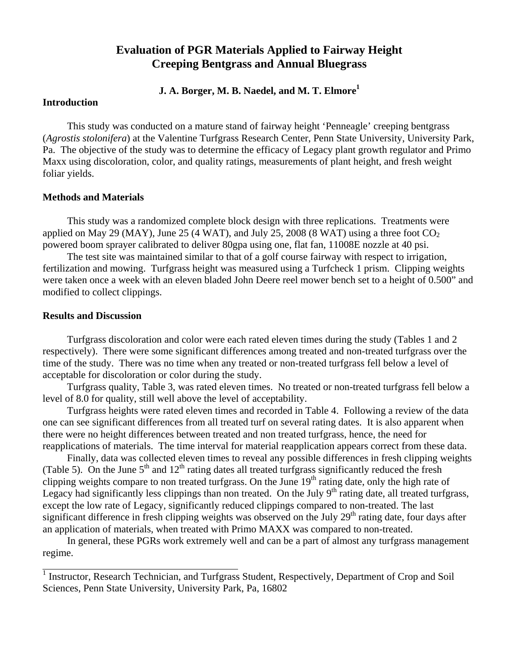# **Evaluation of PGR Materials Applied to Fairway Height Creeping Bentgrass and Annual Bluegrass**

## **J. A. Borger, M. B. Naedel, and M. T. Elmore1**

## **Introduction**

 This study was conducted on a mature stand of fairway height 'Penneagle' creeping bentgrass (*Agrostis stolonifera*) at the Valentine Turfgrass Research Center, Penn State University, University Park, Pa. The objective of the study was to determine the efficacy of Legacy plant growth regulator and Primo Maxx using discoloration, color, and quality ratings, measurements of plant height, and fresh weight foliar yields.

### **Methods and Materials**

This study was a randomized complete block design with three replications. Treatments were applied on May 29 (MAY), June 25 (4 WAT), and July 25, 2008 (8 WAT) using a three foot  $CO<sub>2</sub>$ powered boom sprayer calibrated to deliver 80gpa using one, flat fan, 11008E nozzle at 40 psi.

The test site was maintained similar to that of a golf course fairway with respect to irrigation, fertilization and mowing. Turfgrass height was measured using a Turfcheck 1 prism. Clipping weights were taken once a week with an eleven bladed John Deere reel mower bench set to a height of 0.500" and modified to collect clippings.

### **Results and Discussion**

 $\overline{a}$ 

Turfgrass discoloration and color were each rated eleven times during the study (Tables 1 and 2 respectively). There were some significant differences among treated and non-treated turfgrass over the time of the study. There was no time when any treated or non-treated turfgrass fell below a level of acceptable for discoloration or color during the study.

Turfgrass quality, Table 3, was rated eleven times. No treated or non-treated turfgrass fell below a level of 8.0 for quality, still well above the level of acceptability.

Turfgrass heights were rated eleven times and recorded in Table 4. Following a review of the data one can see significant differences from all treated turf on several rating dates. It is also apparent when there were no height differences between treated and non treated turfgrass, hence, the need for reapplications of materials. The time interval for material reapplication appears correct from these data.

Finally, data was collected eleven times to reveal any possible differences in fresh clipping weights (Table 5). On the June  $5<sup>th</sup>$  and  $12<sup>th</sup>$  rating dates all treated turfgrass significantly reduced the fresh clipping weights compare to non treated turfgrass. On the June  $19<sup>th</sup>$  rating date, only the high rate of Legacy had significantly less clippings than non treated. On the July  $9<sup>th</sup>$  rating date, all treated turfgrass, except the low rate of Legacy, significantly reduced clippings compared to non-treated. The last significant difference in fresh clipping weights was observed on the July  $29<sup>th</sup>$  rating date, four days after an application of materials, when treated with Primo MAXX was compared to non-treated.

In general, these PGRs work extremely well and can be a part of almost any turfgrass management regime.

<sup>&</sup>lt;sup>1</sup> Instructor, Research Technician, and Turfgrass Student, Respectively, Department of Crop and Soil Sciences, Penn State University, University Park, Pa, 16802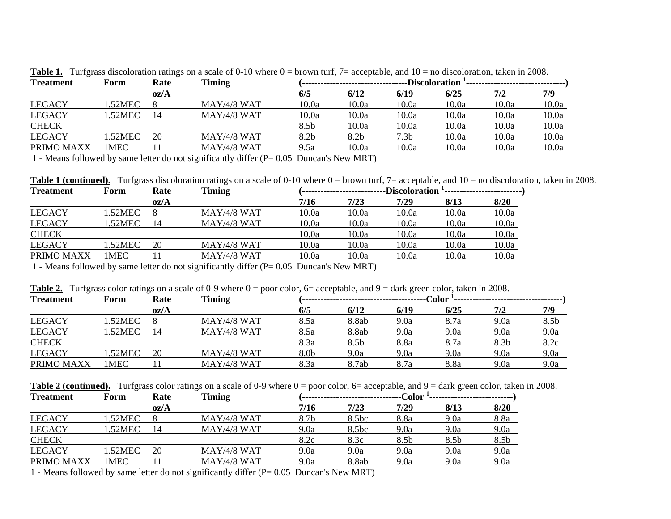| $\tilde{\phantom{a}}$<br><b>Treatment</b> | Form   | ້<br>Rate | Timing        |       |       | <b>Discoloration</b> |       |       |       |
|-------------------------------------------|--------|-----------|---------------|-------|-------|----------------------|-------|-------|-------|
|                                           |        | oz/A      |               | 6/5   | 6/12  | 6/19                 | 6/25  | 7/2   | 7/9   |
| <b>LEGACY</b>                             | .52MEC |           | $MAY/4/8$ WAT | 10.0a | 10.0a | 10.0a                | 10.0a | 10.0a | 10.0a |
| <b>LEGACY</b>                             | .52MEC |           | $MAY/4/8$ WAT | 10.0a | 10.0a | 10.0a                | 10.0a | 10.0a | 10.0a |
| <b>CHECK</b>                              |        |           |               | 8.5b  | 10.0a | 10.0a                | 10.0a | 10.0a | 10.0a |
| <b>LEGACY</b>                             | .52MEC | 20        | $MAY/4/8$ WAT | 8.2b  | 8.2b  | 7.3b                 | 10.0a | 10.0a | 10.0a |
| PRIMO MAXX                                | IMEC   |           | MAY/4/8 WAT   | 9.5a  | 10.0a | 10.0a                | 10.0a | 10.0a | 10.0a |

Table 1. Turfgrass discoloration ratings on a scale of 0-10 where  $0 =$  brown turf, 7= acceptable, and 10 = no discoloration, taken in 2008.

1 - Means followed by same letter do not significantly differ (P= 0.05 Duncan's New MRT)

Table 1 (continued). Turfgrass discoloration ratings on a scale of 0-10 where  $0 =$  brown turf, 7= acceptable, and 10 = no discoloration, taken in 2008.

| <b>Treatment</b> | Form        | Rate | Timing        | <b>Discoloration</b> |       |       |       |       |  |  |
|------------------|-------------|------|---------------|----------------------|-------|-------|-------|-------|--|--|
|                  |             | oz/A |               | 7/16                 | 7/23  | 7/29  | 8/13  | 8/20  |  |  |
| <b>LEGACY</b>    | 1.52MEC     |      | $MAY/4/8$ WAT | 10.0a                | 10.0a | 10.0a | 10.0a | 10.0a |  |  |
| <b>LEGACY</b>    | .52MEC      |      | $MAY/4/8$ WAT | 10.0a                | 10.0a | 10.0a | 10.0a | 10.0a |  |  |
| <b>CHECK</b>     |             |      |               | 10.0a                | 10.0a | 10.0a | 10.0a | 10.0a |  |  |
| <b>LEGACY</b>    | .52MEC      | 20   | $MAY/4/8$ WAT | 10.0a                | 10.0a | 10.0a | 10.0a | 10.0a |  |  |
| PRIMO MAXX       | <b>IMEC</b> |      | $MAY/4/8$ WAT | 10.0a                | 10.0a | 10.0a | 10.0a | 10.0a |  |  |
|                  |             |      |               |                      |       |       |       |       |  |  |

1 - Means followed by same letter do not significantly differ (P= 0.05 Duncan's New MRT)

| <b>Table 2.</b> Turfgrass color ratings on a scale of 0-9 where $0 =$ poor color, $6 =$ acceptable, and $9 =$ dark green color, taken in 2008. |  |  |
|------------------------------------------------------------------------------------------------------------------------------------------------|--|--|
|                                                                                                                                                |  |  |

| ັ<br><b>Treatment</b> | Form   | ັ<br>Rate | Timing        |      |       | $\bf Color$ |      |      |      |  |
|-----------------------|--------|-----------|---------------|------|-------|-------------|------|------|------|--|
|                       |        | oz/A      |               | 6/5  | 6/12  | 6/19        | 6/25 | 7/2  | 7/9  |  |
| <b>LEGACY</b>         | .52MEC |           | $MAY/4/8$ WAT | 8.5a | 8.8ab | 9.0a        | 8.7a | 9.0a | 8.5b |  |
| <b>LEGACY</b>         | .52MEC |           | $MAY/4/8$ WAT | 8.5a | 8.8ab | 9.0a        | 9.0a | 9.0a | 9.0a |  |
| <b>CHECK</b>          |        |           |               | 8.3a | 8.5b  | 8.8a        | 8.7a | 8.3b | 8.2c |  |
| <b>LEGACY</b>         | .52MEC | 20        | $MAY/4/8$ WAT | 8.0b | 9.0a  | 9.0a        | 9.0a | 9.0a | 9.0a |  |
| PRIMO MAXX            | 1MEC   |           | $MAY/4/8$ WAT | 8.3a | 8.7ab | 8.7a        | 8.8a | 9.0a | 9.0a |  |

**Table 2 (continued).** Turfgrass color ratings on a scale of 0-9 where 0 = poor color, 6= acceptable, and 9 = dark green color, taken in 2008.

| <b>Treatment</b> | Form   | Rate | Timing<br>-Color |      |                   |      |      |      |
|------------------|--------|------|------------------|------|-------------------|------|------|------|
|                  |        | oz/A |                  | 7/16 | 7/23              | 7/29 | 8/13 | 8/20 |
| <b>LEGACY</b>    | .52MEC |      | $MAY/4/8$ WAT    | 8.7b | 8.5bc             | 8.8a | 9.0a | 8.8a |
| <b>LEGACY</b>    | .52MEC |      | $MAY/4/8$ WAT    | 9.0a | 8.5 <sub>bc</sub> | 9.0a | 9.0a | 9.0a |
| <b>CHECK</b>     |        |      |                  | 8.2c | 8.3c              | 8.5b | 8.5b | 8.5b |
| <b>LEGACY</b>    | .52MEC | 20   | $MAY/4/8$ WAT    | 9.0a | 9.0a              | 9.0a | 9.0a | 9.0a |
| PRIMO MAXX       | 1 MEC  |      | $MAY/4/8$ WAT    | 9.0a | 8.8ab             | 9.0a | 9.0a | 9.0a |
|                  |        |      |                  |      |                   |      |      |      |

1 - Means followed by same letter do not significantly differ (P= 0.05 Duncan's New MRT)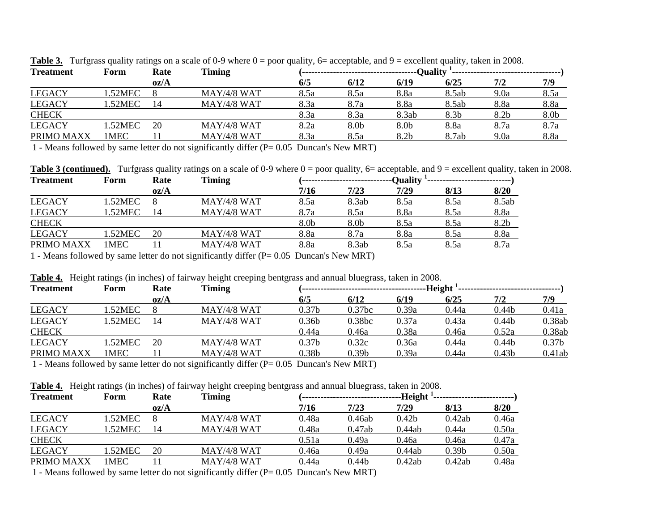| <b>Treatment</b> | Form        | Rate | <b>Timing</b> |      |      |       |       |      |      |
|------------------|-------------|------|---------------|------|------|-------|-------|------|------|
|                  |             | oz/A |               | 6/5  | 6/12 | 6/19  | 6/25  | 7/2  | 7/9  |
| <b>LEGACY</b>    | .52MEC      |      | $MAY/4/8$ WAT | 8.5a | 8.5a | 8.8a  | 8.5ab | 9.0a | 8.5a |
| <b>LEGACY</b>    | .52MEC      |      | $MAY/4/8$ WAT | 8.3a | 8.7a | 8.8a  | 8.5ab | 8.8a | 8.8a |
| <b>CHECK</b>     |             |      |               | 8.3a | 8.3a | 8.3ab | 8.3b  | 8.2b | 8.0b |
| <b>LEGACY</b>    | .52MEC      | 20   | $MAY/4/8$ WAT | 8.2a | 8.0b | 8.0b  | 8.8a  | 8.7a | 8.7a |
| PRIMO MAXX       | <b>IMEC</b> |      | $MAY/4/8$ WAT | 8.3a | 8.5a | 8.2b  | 8.7ab | 9.0a | 8.8a |

**Table 3.** Turfgrass quality ratings on a scale of 0-9 where  $0 =$  poor quality,  $6=$  acceptable, and  $9=$  excellent quality, taken in 2008.

1 - Means followed by same letter do not significantly differ (P= 0.05 Duncan's New MRT)

Table 3 (continued). Turfgrass quality ratings on a scale of 0-9 where  $0 =$  poor quality, 6= acceptable, and 9 = excellent quality, taken in 2008.

| Form    | Rate | Timing        | -Quality |       |      |      |       |
|---------|------|---------------|----------|-------|------|------|-------|
|         | oz/A |               | 7/16     | 7/23  | 7/29 | 8/13 | 8/20  |
| .52MEC  |      | $MAY/4/8$ WAT | 8.5a     | 8.3ab | 8.5a | 8.5a | 8.5ab |
| 1.52MEC |      | $MAY/4/8$ WAT | 8.7a     | 8.5a  | 8.8a | 8.5a | 8.8a  |
|         |      |               | 8.0b     | 8.0b  | 8.5a | 8.5a | 8.2b  |
| .52MEC  | 20   | $MAY/4/8$ WAT | 8.8a     | 8.7a  | 8.8a | 8.5a | 8.8a  |
| 1 MEC   |      | $MAY/4/8$ WAT | 8.8a     | 8.3ab | 8.5a | 8.5a | 8.7a  |
|         |      |               |          |       |      |      |       |

1 - Means followed by same letter do not significantly differ (P= 0.05 Duncan's New MRT)

|  |  | Table 4. Height ratings (in inches) of fairway height creeping bentgrass and annual bluegrass, taken in 2008. |
|--|--|---------------------------------------------------------------------------------------------------------------|
|  |  |                                                                                                               |

| $\overline{\phantom{0}}$<br><b>Treatment</b> | $\sim$<br>Form | Rate | ັ<br>$\overline{\phantom{0}}$<br>$\overline{\phantom{0}}$<br><b>Timing</b> | Height            |                    |       |       |                   |                   |  |
|----------------------------------------------|----------------|------|----------------------------------------------------------------------------|-------------------|--------------------|-------|-------|-------------------|-------------------|--|
|                                              |                | oz/A |                                                                            | 6/5               | 6/12               | 6/19  | 6/25  | 7/2               | 7/9               |  |
| <b>LEGACY</b>                                | .52MEC         |      | $MAY/4/8$ WAT                                                              | 0.37b             | 0.37 <sub>bc</sub> | 0.39a | 0.44a | 0.44 <sub>b</sub> | 0.41a             |  |
| <b>LEGACY</b>                                | .52MEC         | 14   | $MAY/4/8$ WAT                                                              | 0.36 <sub>b</sub> | 0.38bc             | 0.37a | 0.43a | 0.44 <sub>b</sub> | 0.38ab            |  |
| <b>CHECK</b>                                 |                |      |                                                                            | 0.44a             | 0.46a              | 0.38a | 0.46a | 0.52a             | 0.38ab            |  |
| <b>LEGACY</b>                                | .52MEC         | 20   | $MAY/4/8$ WAT                                                              | 0.37 <sub>b</sub> | 0.32c              | 0.36a | 0.44a | 0.44 <sub>b</sub> | 0.37 <sub>b</sub> |  |
| PRIMO MAXX                                   | IMEC           |      | $MAY/4/8$ WAT                                                              | 0.38b             | 0.39 <sub>b</sub>  | 0.39a | 0.44a | 0.43b             | 0.41ab            |  |

1 - Means followed by same letter do not significantly differ (P= 0.05 Duncan's New MRT)

**Table 4.** Height ratings (in inches) of fairway height creeping bentgrass and annual bluegrass, taken in 2008.

| <b>Treatment</b> | Form   | Rate | Timing        |       |        | -Height           |                   |       |
|------------------|--------|------|---------------|-------|--------|-------------------|-------------------|-------|
|                  |        | oz/A |               | 7/16  | 7/23   | 7/29              | 8/13              | 8/20  |
| <b>LEGACY</b>    | .52MEC |      | $MAY/4/8$ WAT | 0.48a | 0.46ab | 0.42 <sub>b</sub> | 0.42ab            | 0.46a |
| <b>LEGACY</b>    | .52MEC |      | $MAY/4/8$ WAT | 0.48a | 0.47ab | 0.44ab            | 0.44a             | 0.50a |
| <b>CHECK</b>     |        |      |               | 0.51a | 0.49a  | 0.46a             | 0.46a             | 0.47a |
| <b>LEGACY</b>    | .52MEC | 20   | $MAY/4/8$ WAT | 0.46a | 0.49a  | 0.44ab            | 0.39 <sub>b</sub> | 0.50a |
| PRIMO MAXX       | 1MEC   |      | $MAX/4/8$ WAT | 0.44a | 0.44b  | 0.42ab            | 0.42ab            | 0.48a |

1 - Means followed by same letter do not significantly differ (P= 0.05 Duncan's New MRT)